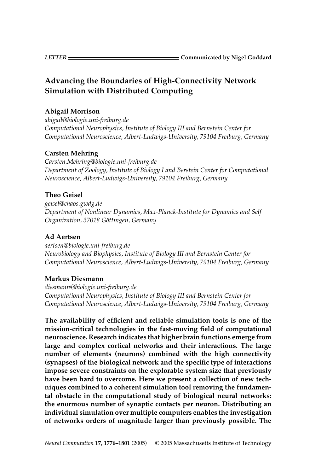# **Advancing the Boundaries of High-Connectivity Network Simulation with Distributed Computing**

# **Abigail Morrison**

*abigail@biologie.uni-freiburg.de Computational Neurophysics, Institute of Biology III and Bernstein Center for Computational Neuroscience, Albert-Ludwigs-University, 79104 Freiburg, Germany*

# **Carsten Mehring**

*Carsten.Mehring@biologie.uni-freiburg.de Department of Zoology, Institute of Biology I and Berstein Center for Computational Neuroscience, Albert-Ludwigs-University, 79104 Freiburg, Germany*

# **Theo Geisel**

*geisel@chaos.gwdg.de Department of Nonlinear Dynamics, Max-Planck-Institute for Dynamics and Self Organization, 37018 Gottingen, Germany ¨*

# **Ad Aertsen**

*aertsen@biologie.uni-freiburg.de Neurobiology and Biophysics, Institute of Biology III and Bernstein Center for Computational Neuroscience, Albert-Ludwigs-University, 79104 Freiburg, Germany*

# **Markus Diesmann**

*diesmann@biologie.uni-freiburg.de Computational Neurophysics, Institute of Biology III and Bernstein Center for Computational Neuroscience, Albert-Ludwigs-University, 79104 Freiburg, Germany*

**The availability of efficient and reliable simulation tools is one of the mission-critical technologies in the fast-moving field of computational neuroscience. Research indicates that higher brain functions emerge from large and complex cortical networks and their interactions. The large number of elements (neurons) combined with the high connectivity (synapses) of the biological network and the specific type of interactions impose severe constraints on the explorable system size that previously have been hard to overcome. Here we present a collection of new techniques combined to a coherent simulation tool removing the fundamental obstacle in the computational study of biological neural networks: the enormous number of synaptic contacts per neuron. Distributing an individual simulation over multiple computers enables the investigation of networks orders of magnitude larger than previously possible. The**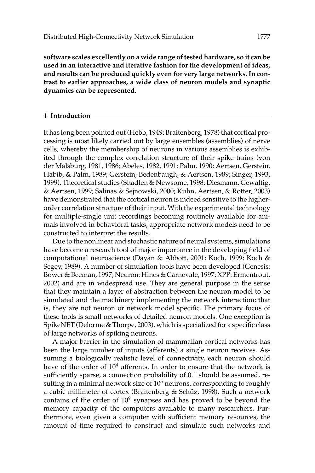**software scales excellently on a wide range of tested hardware, so it can be used in an interactive and iterative fashion for the development of ideas, and results can be produced quickly even for very large networks. In contrast to earlier approaches, a wide class of neuron models and synaptic dynamics can be represented.**

### **1 Introduction**

It has long been pointed out (Hebb, 1949; Braitenberg, 1978) that cortical processing is most likely carried out by large ensembles (assemblies) of nerve cells, whereby the membership of neurons in various assemblies is exhibited through the complex correlation structure of their spike trains (von der Malsburg, 1981, 1986; Abeles, 1982, 1991; Palm, 1990; Aertsen, Gerstein, Habib, & Palm, 1989; Gerstein, Bedenbaugh, & Aertsen, 1989; Singer, 1993, 1999). Theoretical studies (Shadlen & Newsome, 1998; Diesmann, Gewaltig, & Aertsen, 1999; Salinas & Sejnowski, 2000; Kuhn, Aertsen, & Rotter, 2003) have demonstrated that the cortical neuron is indeed sensitive to the higherorder correlation structure of their input. With the experimental technology for multiple-single unit recordings becoming routinely available for animals involved in behavioral tasks, appropriate network models need to be constructed to interpret the results.

Due to the nonlinear and stochastic nature of neural systems, simulations have become a research tool of major importance in the developing field of computational neuroscience (Dayan & Abbott, 2001; Koch, 1999; Koch & Segev, 1989). A number of simulation tools have been developed (Genesis: Bower & Beeman, 1997; Neuron: Hines & Carnevale, 1997; XPP: Ermentrout, 2002) and are in widespread use. They are general purpose in the sense that they maintain a layer of abstraction between the neuron model to be simulated and the machinery implementing the network interaction; that is, they are not neuron or network model specific. The primary focus of these tools is small networks of detailed neuron models. One exception is SpikeNET (Delorme & Thorpe, 2003), which is specialized for a specific class of large networks of spiking neurons.

A major barrier in the simulation of mammalian cortical networks has been the large number of inputs (afferents) a single neuron receives. Assuming a biologically realistic level of connectivity, each neuron should have of the order of  $10<sup>4</sup>$  afferents. In order to ensure that the network is sufficiently sparse, a connection probability of 0.1 should be assumed, resulting in a minimal network size of  $10<sup>5</sup>$  neurons, corresponding to roughly a cubic millimeter of cortex (Braitenberg & Schüz, 1998). Such a network contains of the order of  $10<sup>9</sup>$  synapses and has proved to be beyond the memory capacity of the computers available to many researchers. Furthermore, even given a computer with sufficient memory resources, the amount of time required to construct and simulate such networks and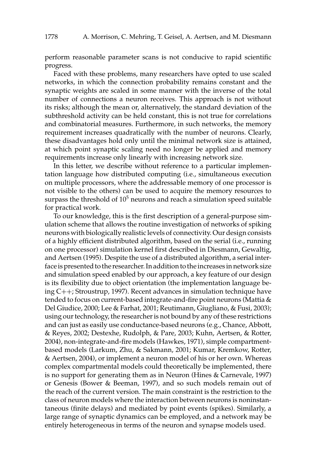perform reasonable parameter scans is not conducive to rapid scientific progress.

Faced with these problems, many researchers have opted to use scaled networks, in which the connection probability remains constant and the synaptic weights are scaled in some manner with the inverse of the total number of connections a neuron receives. This approach is not without its risks; although the mean or, alternatively, the standard deviation of the subthreshold activity can be held constant, this is not true for correlations and combinatorial measures. Furthermore, in such networks, the memory requirement increases quadratically with the number of neurons. Clearly, these disadvantages hold only until the minimal network size is attained, at which point synaptic scaling need no longer be applied and memory requirements increase only linearly with increasing network size.

In this letter, we describe without reference to a particular implementation language how distributed computing (i.e., simultaneous execution on multiple processors, where the addressable memory of one processor is not visible to the others) can be used to acquire the memory resources to surpass the threshold of  $10<sup>5</sup>$  neurons and reach a simulation speed suitable for practical work.

To our knowledge, this is the first description of a general-purpose simulation scheme that allows the routine investigation of networks of spiking neurons with biologically realistic levels of connectivity. Our design consists of a highly efficient distributed algorithm, based on the serial (i.e., running on one processor) simulation kernel first described in Diesmann, Gewaltig, and Aertsen (1995). Despite the use of a distributed algorithm, a serial interface is presented to the researcher. In addition to the increases in network size and simulation speed enabled by our approach, a key feature of our design is its flexibility due to object orientation (the implementation language being C++; Stroustrup, 1997). Recent advances in simulation technique have tended to focus on current-based integrate-and-fire point neurons (Mattia & Del Giudice, 2000; Lee & Farhat, 2001; Reutimann, Giugliano, & Fusi, 2003); using our technology, the researcher is not bound by any of these restrictions and can just as easily use conductance-based neurons (e.g., Chance, Abbott, & Reyes, 2002; Destexhe, Rudolph, & Pare, 2003; Kuhn, Aertsen, & Rotter, 2004), non-integrate-and-fire models (Hawkes, 1971), simple compartmentbased models (Larkum, Zhu, & Sakmann, 2001; Kumar, Kremkow, Rotter, & Aertsen, 2004), or implement a neuron model of his or her own. Whereas complex compartmental models could theoretically be implemented, there is no support for generating them as in Neuron (Hines & Carnevale, 1997) or Genesis (Bower & Beeman, 1997), and so such models remain out of the reach of the current version. The main constraint is the restriction to the class of neuron models where the interaction between neurons is noninstantaneous (finite delays) and mediated by point events (spikes). Similarly, a large range of synaptic dynamics can be employed, and a network may be entirely heterogeneous in terms of the neuron and synapse models used.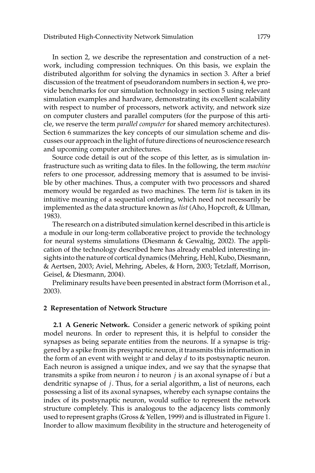In section 2, we describe the representation and construction of a network, including compression techniques. On this basis, we explain the distributed algorithm for solving the dynamics in section 3. After a brief discussion of the treatment of pseudorandom numbers in section 4, we provide benchmarks for our simulation technology in section 5 using relevant simulation examples and hardware, demonstrating its excellent scalability with respect to number of processors, network activity, and network size on computer clusters and parallel computers (for the purpose of this article, we reserve the term *parallel computer* for shared memory architectures). Section 6 summarizes the key concepts of our simulation scheme and discusses our approach in the light of future directions of neuroscience research and upcoming computer architectures.

Source code detail is out of the scope of this letter, as is simulation infrastructure such as writing data to files. In the following, the term *machine* refers to one processor, addressing memory that is assumed to be invisible by other machines. Thus, a computer with two processors and shared memory would be regarded as two machines. The term *list* is taken in its intuitive meaning of a sequential ordering, which need not necessarily be implemented as the data structure known as *list* (Aho, Hopcroft, & Ullman, 1983).

The research on a distributed simulation kernel described in this article is a module in our long-term collaborative project to provide the technology for neural systems simulations (Diesmann & Gewaltig, 2002). The application of the technology described here has already enabled interesting insights into the nature of cortical dynamics (Mehring, Hehl, Kubo, Diesmann, & Aertsen, 2003; Aviel, Mehring, Abeles, & Horn, 2003; Tetzlaff, Morrison, Geisel, & Diesmann, 2004).

Preliminary results have been presented in abstract form (Morrison et al., 2003).

#### **2 Representation of Network Structure**

**2.1 A Generic Network.** Consider a generic network of spiking point model neurons. In order to represent this, it is helpful to consider the synapses as being separate entities from the neurons. If a synapse is triggered by a spike from its presynaptic neuron, it transmits this information in the form of an event with weight *w* and delay *d* to its postsynaptic neuron. Each neuron is assigned a unique index, and we say that the synapse that transmits a spike from neuron *i* to neuron *j* is an axonal synapse of *i* but a dendritic synapse of *j*. Thus, for a serial algorithm, a list of neurons, each possessing a list of its axonal synapses, whereby each synapse contains the index of its postsynaptic neuron, would suffice to represent the network structure completely. This is analogous to the adjacency lists commonly used to represent graphs (Gross & Yellen, 1999) and is illustrated in Figure 1. Inorder to allow maximum flexibility in the structure and heterogeneity of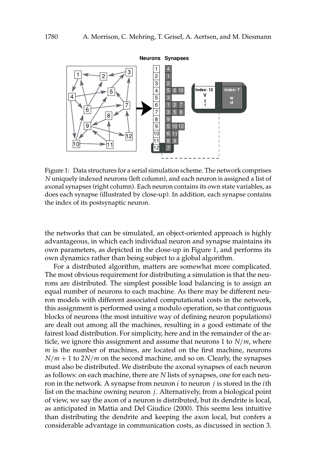

Figure 1: Data structures for a serial simulation scheme. The network comprises *N* uniquely indexed neurons (left column), and each neuron is assigned a list of axonal synapses (right column). Each neuron contains its own state variables, as does each synapse (illustrated by close-up). In addition, each synapse contains the index of its postsynaptic neuron.

the networks that can be simulated, an object-oriented approach is highly advantageous, in which each individual neuron and synapse maintains its own parameters, as depicted in the close-up in Figure 1, and performs its own dynamics rather than being subject to a global algorithm.

For a distributed algorithm, matters are somewhat more complicated. The most obvious requirement for distributing a simulation is that the neurons are distributed. The simplest possible load balancing is to assign an equal number of neurons to each machine. As there may be different neuron models with different associated computational costs in the network, this assignment is performed using a modulo operation, so that contiguous blocks of neurons (the most intuitive way of defining neuron populations) are dealt out among all the machines, resulting in a good estimate of the fairest load distribution. For simplicity, here and in the remainder of the article, we ignore this assignment and assume that neurons 1 to *N*/*m*, where *m* is the number of machines, are located on the first machine, neurons  $N/m + 1$  to  $2N/m$  on the second machine, and so on. Clearly, the synapses must also be distributed. We distribute the axonal synapses of each neuron as follows: on each machine, there are *N* lists of synapses, one for each neuron in the network. A synapse from neuron *i* to neuron *j* is stored in the *i*th list on the machine owning neuron *j*. Alternatively, from a biological point of view, we say the axon of a neuron is distributed, but its dendrite is local, as anticipated in Mattia and Del Giudice (2000). This seems less intuitive than distributing the dendrite and keeping the axon local, but confers a considerable advantage in communication costs, as discussed in section 3.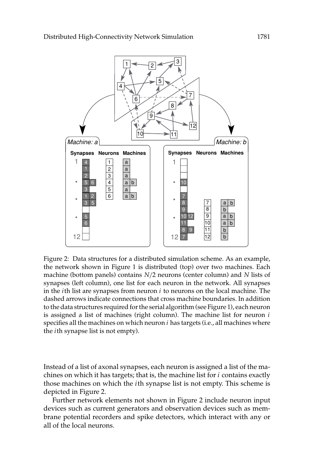

Figure 2: Data structures for a distributed simulation scheme. As an example, the network shown in Figure 1 is distributed (top) over two machines. Each machine (bottom panels) contains *N*/2 neurons (center column) and *N* lists of synapses (left column), one list for each neuron in the network. All synapses in the *i*th list are synapses from neuron *i* to neurons on the local machine. The dashed arrows indicate connections that cross machine boundaries. In addition to the data structures required for the serial algorithm (see Figure 1), each neuron is assigned a list of machines (right column). The machine list for neuron *i* specifies all the machines on which neuron *i* has targets (i.e., all machines where the *i*th synapse list is not empty).

Instead of a list of axonal synapses, each neuron is assigned a list of the machines on which it has targets; that is, the machine list for *i* contains exactly those machines on which the *i*th synapse list is not empty. This scheme is depicted in Figure 2.

Further network elements not shown in Figure 2 include neuron input devices such as current generators and observation devices such as membrane potential recorders and spike detectors, which interact with any or all of the local neurons.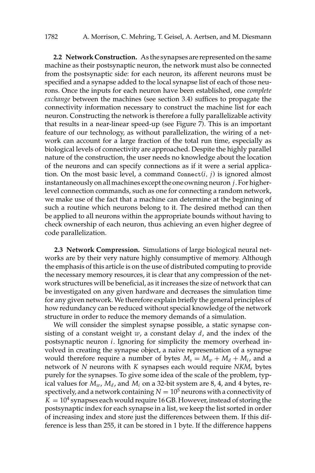**2.2 Network Construction.** As the synapses are represented on the same machine as their postsynaptic neuron, the network must also be connected from the postsynaptic side: for each neuron, its afferent neurons must be specified and a synapse added to the local synapse list of each of those neurons. Once the inputs for each neuron have been established, one *complete exchange* between the machines (see section 3.4) suffices to propagate the connectivity information necessary to construct the machine list for each neuron. Constructing the network is therefore a fully parallelizable activity that results in a near-linear speed-up (see Figure 7). This is an important feature of our technology, as without parallelization, the wiring of a network can account for a large fraction of the total run time, especially as biological levels of connectivity are approached. Despite the highly parallel nature of the construction, the user needs no knowledge about the location of the neurons and can specify connections as if it were a serial application. On the most basic level, a command  $Connect(i, j)$  is ignored almost instantaneously on all machines except the one owning neuron *j*. For higherlevel connection commands, such as one for connecting a random network, we make use of the fact that a machine can determine at the beginning of such a routine which neurons belong to it. The desired method can then be applied to all neurons within the appropriate bounds without having to check ownership of each neuron, thus achieving an even higher degree of code parallelization.

**2.3 Network Compression.** Simulations of large biological neural networks are by their very nature highly consumptive of memory. Although the emphasis of this article is on the use of distributed computing to provide the necessary memory resources, it is clear that any compression of the network structures will be beneficial, as it increases the size of network that can be investigated on any given hardware and decreases the simulation time for any given network. We therefore explain briefly the general principles of how redundancy can be reduced without special knowledge of the network structure in order to reduce the memory demands of a simulation.

We will consider the simplest synapse possible, a static synapse consisting of a constant weight *w*, a constant delay *d*, and the index of the postsynaptic neuron *i*. Ignoring for simplicity the memory overhead involved in creating the synapse object, a naive representation of a synapse would therefore require a number of bytes  $M_s = M_w + M_d + M_i$ , and a network of *N* neurons with *K* synapses each would require *NKMs* bytes purely for the synapses. To give some idea of the scale of the problem, typical values for  $M_w$ ,  $M_d$ , and  $M_i$  on a 32-bit system are 8, 4, and 4 bytes, respectively, and a network containing  $N = 10<sup>5</sup>$  neurons with a connectivity of  $K = 10<sup>4</sup>$  synapses each would require 16 GB. However, instead of storing the postsynaptic index for each synapse in a list, we keep the list sorted in order of increasing index and store just the differences between them. If this difference is less than 255, it can be stored in 1 byte. If the difference happens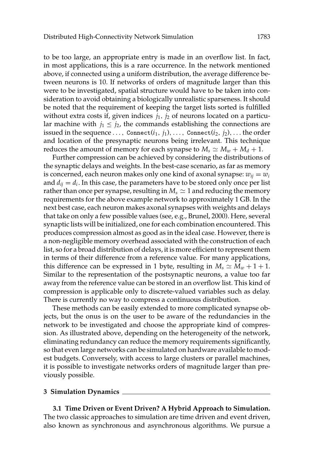to be too large, an appropriate entry is made in an overflow list. In fact, in most applications, this is a rare occurrence. In the network mentioned above, if connected using a uniform distribution, the average difference between neurons is 10. If networks of orders of magnitude larger than this were to be investigated, spatial structure would have to be taken into consideration to avoid obtaining a biologically unrealistic sparseness. It should be noted that the requirement of keeping the target lists sorted is fulfilled without extra costs if, given indices  $j_1$ ,  $j_2$  of neurons located on a particular machine with  $j_1 \leq j_2$ , the commands establishing the connections are issued in the sequence ..., Connect $(i_1, j_1), \ldots$ , Connect $(i_2, j_2), \ldots$  the order and location of the presynaptic neurons being irrelevant. This technique reduces the amount of memory for each synapse to  $M_s \simeq M_w + M_d + 1$ .

Further compression can be achieved by considering the distributions of the synaptic delays and weights. In the best-case scenario, as far as memory is concerned, each neuron makes only one kind of axonal synapse:  $w_{ii} = w_i$ and  $d_{ij} = d_i$ . In this case, the parameters have to be stored only once per list rather than once per synapse, resulting in  $M_s \simeq 1$  and reducing the memory requirements for the above example network to approximately 1 GB. In the next best case, each neuron makes axonal synapses with weights and delays that take on only a few possible values (see, e.g., Brunel, 2000). Here, several synaptic lists will be initialized, one for each combination encountered. This produces compression almost as good as in the ideal case. However, there is a non-negligible memory overhead associated with the construction of each list, so for a broad distribution of delays, it is more efficient to represent them in terms of their difference from a reference value. For many applications, this difference can be expressed in 1 byte, resulting in  $M_s \simeq M_w + 1 + 1$ . Similar to the representation of the postsynaptic neurons, a value too far away from the reference value can be stored in an overflow list. This kind of compression is applicable only to discrete-valued variables such as delay. There is currently no way to compress a continuous distribution.

These methods can be easily extended to more complicated synapse objects, but the onus is on the user to be aware of the redundancies in the network to be investigated and choose the appropriate kind of compression. As illustrated above, depending on the heterogeneity of the network, eliminating redundancy can reduce the memory requirements significantly, so that even large networks can be simulated on hardware available to modest budgets. Conversely, with access to large clusters or parallel machines, it is possible to investigate networks orders of magnitude larger than previously possible.

#### **3 Simulation Dynamics**

**3.1 Time Driven or Event Driven? A Hybrid Approach to Simulation.** The two classic approaches to simulation are time driven and event driven, also known as synchronous and asynchronous algorithms. We pursue a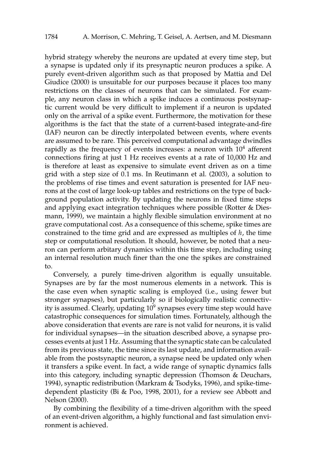hybrid strategy whereby the neurons are updated at every time step, but a synapse is updated only if its presynaptic neuron produces a spike. A purely event-driven algorithm such as that proposed by Mattia and Del Giudice (2000) is unsuitable for our purposes because it places too many restrictions on the classes of neurons that can be simulated. For example, any neuron class in which a spike induces a continuous postsynaptic current would be very difficult to implement if a neuron is updated only on the arrival of a spike event. Furthermore, the motivation for these algorithms is the fact that the state of a current-based integrate-and-fire (IAF) neuron can be directly interpolated between events, where events are assumed to be rare. This perceived computational advantage dwindles rapidly as the frequency of events increases: a neuron with  $10<sup>4</sup>$  afferent connections firing at just 1 Hz receives events at a rate of 10,000 Hz and is therefore at least as expensive to simulate event driven as on a time grid with a step size of 0.1 ms. In Reutimann et al. (2003), a solution to the problems of rise times and event saturation is presented for IAF neurons at the cost of large look-up tables and restrictions on the type of background population activity. By updating the neurons in fixed time steps and applying exact integration techniques where possible (Rotter & Diesmann, 1999), we maintain a highly flexible simulation environment at no grave computational cost. As a consequence of this scheme, spike times are constrained to the time grid and are expressed as multiples of *h*, the time step or computational resolution. It should, however, be noted that a neuron can perform arbitary dynamics within this time step, including using an internal resolution much finer than the one the spikes are constrained to.

Conversely, a purely time-driven algorithm is equally unsuitable. Synapses are by far the most numerous elements in a network. This is the case even when synaptic scaling is employed (i.e., using fewer but stronger synapses), but particularly so if biologically realistic connectivity is assumed. Clearly, updating  $10^9$  synapses every time step would have catastrophic consequences for simulation times. Fortunately, although the above consideration that events are rare is not valid for neurons, it is valid for individual synapses—in the situation described above, a synapse processes events at just 1 Hz. Assuming that the synaptic state can be calculated from its previous state, the time since its last update, and information available from the postsynaptic neuron, a synapse need be updated only when it transfers a spike event. In fact, a wide range of synaptic dynamics falls into this category, including synaptic depression (Thomson & Deuchars, 1994), synaptic redistribution (Markram & Tsodyks, 1996), and spike-timedependent plasticity (Bi & Poo, 1998, 2001), for a review see Abbott and Nelson (2000).

By combining the flexibility of a time-driven algorithm with the speed of an event-driven algorithm, a highly functional and fast simulation environment is achieved.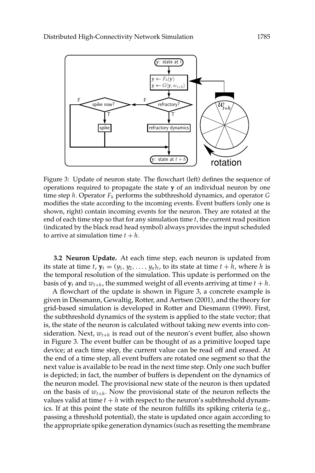

Figure 3: Update of neuron state. The flowchart (left) defines the sequence of operations required to propagate the state **y** of an individual neuron by one time step *h*. Operator *Fh* performs the subthreshold dynamics, and operator *G* modifies the state according to the incoming events. Event buffers (only one is shown, right) contain incoming events for the neuron. They are rotated at the end of each time step so that for any simulation time *t*, the current read position (indicated by the black read head symbol) always provides the input scheduled to arrive at simulation time  $t + h$ .

**3.2 Neuron Update.** At each time step, each neuron is updated from its state at time *t*,  $y_t = (y_1, y_2, \ldots, y_n)_t$ , to its state at time  $t + h$ , where *h* is the temporal resolution of the simulation. This update is performed on the basis of  $\mathbf{v}_t$  and  $w_{t+h}$ , the summed weight of all events arriving at time  $t + h$ .

A flowchart of the update is shown in Figure 3, a concrete example is given in Diesmann, Gewaltig, Rotter, and Aertsen (2001), and the theory for grid-based simulation is developed in Rotter and Diesmann (1999). First, the subthreshold dynamics of the system is applied to the state vector; that is, the state of the neuron is calculated without taking new events into consideration. Next,  $w_{t+h}$  is read out of the neuron's event buffer, also shown in Figure 3. The event buffer can be thought of as a primitive looped tape device; at each time step, the current value can be read off and erased. At the end of a time step, all event buffers are rotated one segment so that the next value is available to be read in the next time step. Only one such buffer is depicted; in fact, the number of buffers is dependent on the dynamics of the neuron model. The provisional new state of the neuron is then updated on the basis of  $w_{t+h}$ . Now the provisional state of the neuron reflects the values valid at time  $t + h$  with respect to the neuron's subthreshold dynamics. If at this point the state of the neuron fulfills its spiking criteria (e.g., passing a threshold potential), the state is updated once again according to the appropriate spike generation dynamics (such as resetting the membrane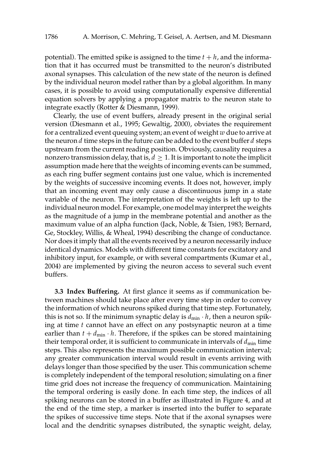potential). The emitted spike is assigned to the time  $t + h$ , and the information that it has occurred must be transmitted to the neuron's distributed axonal synapses. This calculation of the new state of the neuron is defined by the individual neuron model rather than by a global algorithm. In many cases, it is possible to avoid using computationally expensive differential equation solvers by applying a propagator matrix to the neuron state to integrate exactly (Rotter & Diesmann, 1999).

Clearly, the use of event buffers, already present in the original serial version (Diesmann et al., 1995; Gewaltig, 2000), obviates the requirement for a centralized event queuing system; an event of weight *w* due to arrive at the neuron *d* time steps in the future can be added to the event buffer *d* steps upstream from the current reading position. Obviously, causality requires a nonzero transmission delay, that is,  $d \geq 1$ . It is important to note the implicit assumption made here that the weights of incoming events can be summed, as each ring buffer segment contains just one value, which is incremented by the weights of successive incoming events. It does not, however, imply that an incoming event may only cause a discontinuous jump in a state variable of the neuron. The interpretation of the weights is left up to the individual neuron model. For example, one model may interpret the weights as the magnitude of a jump in the membrane potential and another as the maximum value of an alpha function (Jack, Noble, & Tsien, 1983; Bernard, Ge, Stockley, Willis, & Wheal, 1994) describing the change of conductance. Nor does it imply that all the events received by a neuron necessarily induce identical dynamics. Models with different time constants for excitatory and inhibitory input, for example, or with several compartments (Kumar et al., 2004) are implemented by giving the neuron access to several such event buffers.

**3.3 Index Buffering.** At first glance it seems as if communication between machines should take place after every time step in order to convey the information of which neurons spiked during that time step. Fortunately, this is not so. If the minimum synaptic delay is  $d_{\min} \cdot h$ , then a neuron spiking at time *t* cannot have an effect on any postsynaptic neuron at a time earlier than  $t + d_{\min} \cdot h$ . Therefore, if the spikes can be stored maintaining their temporal order, it is sufficient to communicate in intervals of  $d_{min}$  time steps. This also represents the maximum possible communication interval; any greater communication interval would result in events arriving with delays longer than those specified by the user. This communication scheme is completely independent of the temporal resolution; simulating on a finer time grid does not increase the frequency of communication. Maintaining the temporal ordering is easily done. In each time step, the indices of all spiking neurons can be stored in a buffer as illustrated in Figure 4, and at the end of the time step, a marker is inserted into the buffer to separate the spikes of successive time steps. Note that if the axonal synapses were local and the dendritic synapses distributed, the synaptic weight, delay,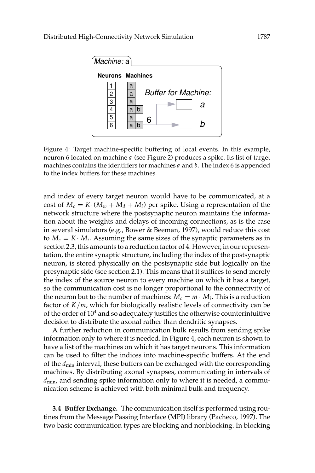

Figure 4: Target machine-specific buffering of local events. In this example, neuron 6 located on machine *a* (see Figure 2) produces a spike. Its list of target machines contains the identifiers for machines *a* and *b*. The index 6 is appended to the index buffers for these machines.

and index of every target neuron would have to be communicated, at a cost of  $M_c = K \cdot (M_w + M_d + M_i)$  per spike. Using a representation of the network structure where the postsynaptic neuron maintains the information about the weights and delays of incoming connections, as is the case in several simulators (e.g., Bower & Beeman, 1997), would reduce this cost to  $M_c = K \cdot M_i$ . Assuming the same sizes of the synaptic parameters as in section 2.3, this amounts to a reduction factor of 4. However, in our representation, the entire synaptic structure, including the index of the postsynaptic neuron, is stored physically on the postsynaptic side but logically on the presynaptic side (see section 2.1). This means that it suffices to send merely the index of the source neuron to every machine on which it has a target, so the communication cost is no longer proportional to the connectivity of the neuron but to the number of machines:  $M_c = m \cdot M_i$ . This is a reduction factor of *K*/*m*, which for biologically realistic levels of connectivity can be of the order of  $10^4$  and so adequately justifies the otherwise counterintuitive decision to distribute the axonal rather than dendritic synapses.

A further reduction in communication bulk results from sending spike information only to where it is needed. In Figure 4, each neuron is shown to have a list of the machines on which it has target neurons. This information can be used to filter the indices into machine-specific buffers. At the end of the  $d_{\text{min}}$  interval, these buffers can be exchanged with the corresponding machines. By distributing axonal synapses, communicating in intervals of *d*min, and sending spike information only to where it is needed, a communication scheme is achieved with both minimal bulk and frequency.

**3.4 Buffer Exchange.** The communication itself is performed using routines from the Message Passing Interface (MPI) library (Pacheco, 1997). The two basic communication types are blocking and nonblocking. In blocking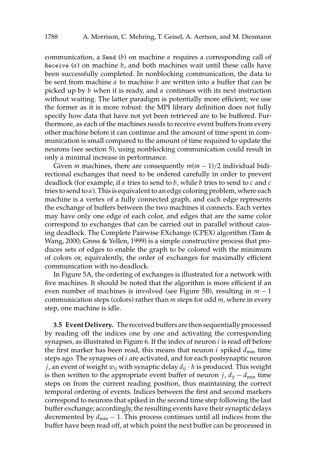communication, a Send (*b*) on machine *a* requires a corresponding call of Receive (*a*) on machine *b*, and both machines wait until these calls have been successfully completed. In nonblocking communication, the data to be sent from machine *a* to machine *b* are written into a buffer that can be picked up by *b* when it is ready, and *a* continues with its next instruction without waiting. The latter paradigm is potentially more efficient; we use the former as it is more robust: the MPI library definition does not fully specify how data that have not yet been retrieved are to be buffered. Furthermore, as each of the machines needs to receive event buffers from every other machine before it can continue and the amount of time spent in communication is small compared to the amount of time required to update the neurons (see section 5), using nonblocking communication could result in only a minimal increase in performance.

Given *m* machines, there are consequently  $m(m - 1)/2$  individual bidirectional exchanges that need to be ordered carefully in order to prevent deadlock (for example, if *a* tries to send to *b*, while *b* tries to send to *c* and *c* tries to send to *a*). This is equivalent to an edge coloring problem, where each machine is a vertex of a fully connected graph, and each edge represents the exchange of buffers between the two machines it connects. Each vertex may have only one edge of each color, and edges that are the same color correspond to exchanges that can be carried out in parallel without causing deadlock. The Complete Pairwise EXchange (CPEX) algorithm (Tam & Wang, 2000; Gross & Yellen, 1999) is a simple constructive process that produces sets of edges to enable the graph to be colored with the minimum of colors or, equivalently, the order of exchanges for maximally efficient communication with no deadlock.

In Figure 5A, the ordering of exchanges is illustrated for a network with five machines. It should be noted that the algorithm is more efficient if an even number of machines is involved (see Figure 5B), resulting in *m* − 1 communication steps (colors) rather than *m* steps for odd *m*, where in every step, one machine is idle.

**3.5 Event Delivery.** The received buffers are then sequentially processed by reading off the indices one by one and activating the corresponding synapses, as illustrated in Figure 6. If the index of neuron *i* is read off before the first marker has been read, this means that neuron *i* spiked  $d_{\min}$  time steps ago. The synapses of *i* are activated, and for each postsynaptic neuron *j*, an event of weight *wij* with synaptic delay *dij* · *h* is produced. This weight is then written to the appropriate event buffer of neuron *j*,  $d_{ii} - d_{\min}$  time steps on from the current reading position, thus maintaining the correct temporal ordering of events. Indices between the first and second markers correspond to neurons that spiked in the second time step following the last buffer exchange; accordingly, the resulting events have their synaptic delays decremented by  $d_{\min} - 1$ . This process continues until all indices from the buffer have been read off, at which point the next buffer can be processed in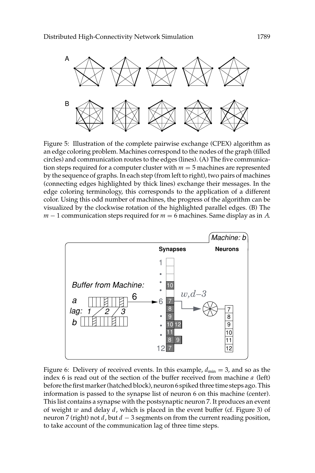

Figure 5: Illustration of the complete pairwise exchange (CPEX) algorithm as an edge coloring problem. Machines correspond to the nodes of the graph (filled circles) and communication routes to the edges (lines). (A) The five communication steps required for a computer cluster with  $m = 5$  machines are represented by the sequence of graphs. In each step (from left to right), two pairs of machines (connecting edges highlighted by thick lines) exchange their messages. In the edge coloring terminology, this corresponds to the application of a different color. Using this odd number of machines, the progress of the algorithm can be visualized by the clockwise rotation of the highlighted parallel edges. (B) The *m* − 1 communication steps required for *m* = 6 machines. Same display as in *A*.



Figure 6: Delivery of received events. In this example,  $d_{\min} = 3$ , and so as the index 6 is read out of the section of the buffer received from machine *a* (left) before the first marker (hatched block), neuron 6 spiked three time steps ago. This information is passed to the synapse list of neuron 6 on this machine (center). This list contains a synapse with the postsynaptic neuron 7. It produces an event of weight *w* and delay *d*, which is placed in the event buffer (cf. Figure 3) of neuron 7 (right) not *d*, but *d* − 3 segments on from the current reading position, to take account of the communication lag of three time steps.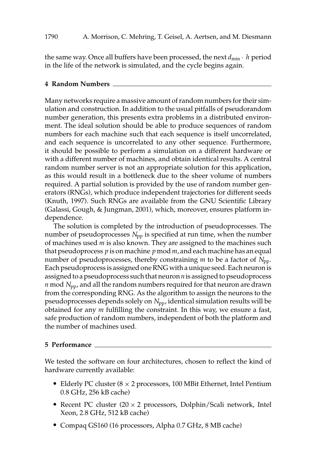the same way. Once all buffers have been processed, the next  $d_{\min} \cdot h$  period in the life of the network is simulated, and the cycle begins again.

### **4 Random Numbers**

Many networks require a massive amount of random numbers for their simulation and construction. In addition to the usual pitfalls of pseudorandom number generation, this presents extra problems in a distributed environment. The ideal solution should be able to produce sequences of random numbers for each machine such that each sequence is itself uncorrelated, and each sequence is uncorrelated to any other sequence. Furthermore, it should be possible to perform a simulation on a different hardware or with a different number of machines, and obtain identical results. A central random number server is not an appropriate solution for this application, as this would result in a bottleneck due to the sheer volume of numbers required. A partial solution is provided by the use of random number generators (RNGs), which produce independent trajectories for different seeds (Knuth, 1997). Such RNGs are available from the GNU Scientific Library (Galassi, Gough, & Jungman, 2001), which, moreover, ensures platform independence.

The solution is completed by the introduction of pseudoprocesses. The number of pseudoprocesses  $N_{\text{pp}}$  is specified at run time, when the number of machines used *m* is also known. They are assigned to the machines such that pseudoprocess *p* is on machine *p* mod*m*, and each machine has an equal number of pseudoprocesses, thereby constraining  $m$  to be a factor of  $N_{\text{pp}}$ . Each pseudoprocess is assigned one RNG with a unique seed. Each neuron is assigned to a pseudoprocess such that neuron*n*is assigned to pseudoprocess  $n \mod N_{\text{pp}}$ , and all the random numbers required for that neuron are drawn from the corresponding RNG. As the algorithm to assign the neurons to the pseudoprocesses depends solely on *N*<sub>pp</sub>, identical simulation results will be obtained for any *m* fulfilling the constraint. In this way, we ensure a fast, safe production of random numbers, independent of both the platform and the number of machines used.

### **5 Performance**

We tested the software on four architectures, chosen to reflect the kind of hardware currently available:

- Elderly PC cluster ( $8 \times 2$  processors, 100 MBit Ethernet, Intel Pentium 0.8 GHz, 256 kB cache)
- Recent PC cluster  $(20 \times 2)$  processors, Dolphin/Scali network, Intel Xeon, 2.8 GHz, 512 kB cache)
- Compaq GS160 (16 processors, Alpha 0.7 GHz, 8 MB cache)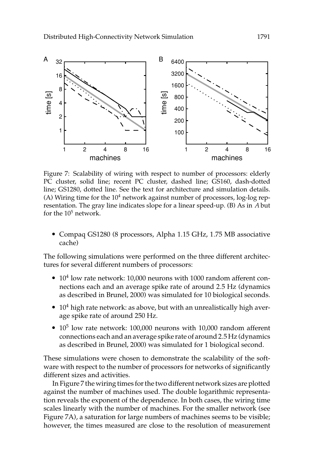

Figure 7: Scalability of wiring with respect to number of processors: elderly PC cluster, solid line; recent PC cluster, dashed line; GS160, dash-dotted line; GS1280, dotted line. See the text for architecture and simulation details. (A) Wiring time for the  $10<sup>4</sup>$  network against number of processors, log-log representation. The gray line indicates slope for a linear speed-up. (B) As in *A* but for the  $10<sup>5</sup>$  network.

 Compaq GS1280 (8 processors, Alpha 1.15 GHz, 1.75 MB associative cache)

The following simulations were performed on the three different architectures for several different numbers of processors:

- $\bullet$  10<sup>4</sup> low rate network: 10,000 neurons with 1000 random afferent connections each and an average spike rate of around 2.5 Hz (dynamics as described in Brunel, 2000) was simulated for 10 biological seconds.
- $\bullet$  10<sup>4</sup> high rate network: as above, but with an unrealistically high average spike rate of around 250 Hz.
- $\bullet$  10<sup>5</sup> low rate network: 100,000 neurons with 10,000 random afferent connections each and an average spike rate of around 2.5 Hz (dynamics as described in Brunel, 2000) was simulated for 1 biological second.

These simulations were chosen to demonstrate the scalability of the software with respect to the number of processors for networks of significantly different sizes and activities.

In Figure 7 the wiring times for the two different network sizes are plotted against the number of machines used. The double logarithmic representation reveals the exponent of the dependence. In both cases, the wiring time scales linearly with the number of machines. For the smaller network (see Figure 7A), a saturation for large numbers of machines seems to be visible; however, the times measured are close to the resolution of measurement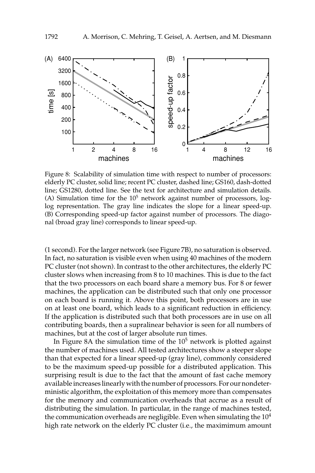

Figure 8: Scalability of simulation time with respect to number of processors: elderly PC cluster, solid line; recent PC cluster, dashed line; GS160, dash-dotted line; GS1280, dotted line. See the text for architecture and simulation details. (A) Simulation time for the  $10<sup>5</sup>$  network against number of processors, loglog representation. The gray line indicates the slope for a linear speed-up. (B) Corresponding speed-up factor against number of processors. The diagonal (broad gray line) corresponds to linear speed-up.

(1 second). For the larger network (see Figure 7B), no saturation is observed. In fact, no saturation is visible even when using 40 machines of the modern PC cluster (not shown). In contrast to the other architectures, the elderly PC cluster slows when increasing from 8 to 10 machines. This is due to the fact that the two processors on each board share a memory bus. For 8 or fewer machines, the application can be distributed such that only one processor on each board is running it. Above this point, both processors are in use on at least one board, which leads to a significant reduction in efficiency. If the application is distributed such that both processors are in use on all contributing boards, then a supralinear behavior is seen for all numbers of machines, but at the cost of larger absolute run times.

In Figure 8A the simulation time of the  $10<sup>5</sup>$  network is plotted against the number of machines used. All tested architectures show a steeper slope than that expected for a linear speed-up (gray line), commonly considered to be the maximum speed-up possible for a distributed application. This surprising result is due to the fact that the amount of fast cache memory available increases linearly with the number of processors. For our nondeterministic algorithm, the exploitation of this memory more than compensates for the memory and communication overheads that accrue as a result of distributing the simulation. In particular, in the range of machines tested, the communication overheads are negligible. Even when simulating the  $10<sup>4</sup>$ high rate network on the elderly PC cluster (i.e., the maximimum amount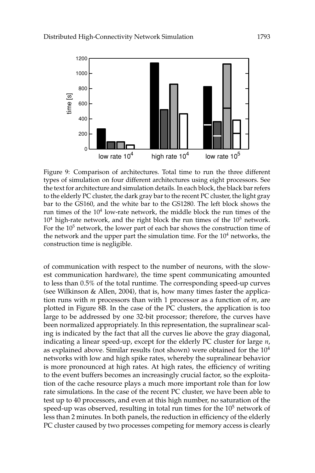

Figure 9: Comparison of architectures. Total time to run the three different types of simulation on four different architectures using eight processors. See the text for architecture and simulation details. In each block, the black bar refers to the elderly PC cluster, the dark gray bar to the recent PC cluster, the light gray bar to the GS160, and the white bar to the GS1280. The left block shows the run times of the  $10<sup>4</sup>$  low-rate network, the middle block the run times of the  $10<sup>4</sup>$  high-rate network, and the right block the run times of the  $10<sup>5</sup>$  network. For the  $10<sup>5</sup>$  network, the lower part of each bar shows the construction time of the network and the upper part the simulation time. For the  $10<sup>4</sup>$  networks, the construction time is negligible.

of communication with respect to the number of neurons, with the slowest communication hardware), the time spent communicating amounted to less than 0.5% of the total runtime. The corresponding speed-up curves (see Wilkinson & Allen, 2004), that is, how many times faster the application runs with *m* processors than with 1 processor as a function of *m*, are plotted in Figure 8B. In the case of the PC clusters, the application is too large to be addressed by one 32-bit processor; therefore, the curves have been normalized appropriately. In this representation, the supralinear scaling is indicated by the fact that all the curves lie above the gray diagonal, indicating a linear speed-up, except for the elderly PC cluster for large *n*, as explained above. Similar results (not shown) were obtained for the  $10<sup>4</sup>$ networks with low and high spike rates, whereby the supralinear behavior is more pronounced at high rates. At high rates, the efficiency of writing to the event buffers becomes an increasingly crucial factor, so the exploitation of the cache resource plays a much more important role than for low rate simulations. In the case of the recent PC cluster, we have been able to test up to 40 processors, and even at this high number, no saturation of the speed-up was observed, resulting in total run times for the  $10<sup>5</sup>$  network of less than 2 minutes. In both panels, the reduction in efficiency of the elderly PC cluster caused by two processes competing for memory access is clearly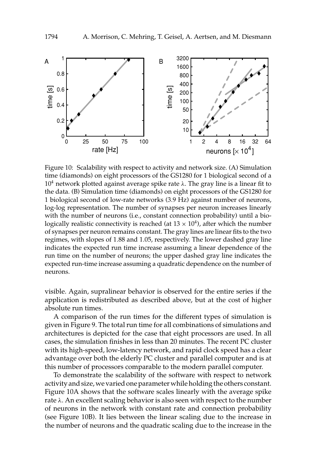

Figure 10: Scalability with respect to activity and network size. (A) Simulation time (diamonds) on eight processors of the GS1280 for 1 biological second of a  $10<sup>4</sup>$  network plotted against average spike rate  $\lambda$ . The gray line is a linear fit to the data. (B) Simulation time (diamonds) on eight processors of the GS1280 for 1 biological second of low-rate networks (3.9 Hz) against number of neurons, log-log representation. The number of synapses per neuron increases linearly with the number of neurons (i.e., constant connection probability) until a biologically realistic connectivity is reached (at  $13 \times 10^4$ ), after which the number of synapses per neuron remains constant. The gray lines are linear fits to the two regimes, with slopes of 1.88 and 1.05, respectively. The lower dashed gray line indicates the expected run time increase assuming a linear dependence of the run time on the number of neurons; the upper dashed gray line indicates the expected run-time increase assuming a quadratic dependence on the number of neurons.

visible. Again, supralinear behavior is observed for the entire series if the application is redistributed as described above, but at the cost of higher absolute run times.

A comparison of the run times for the different types of simulation is given in Figure 9. The total run time for all combinations of simulations and architectures is depicted for the case that eight processors are used. In all cases, the simulation finishes in less than 20 minutes. The recent PC cluster with its high-speed, low-latency network, and rapid clock speed has a clear advantage over both the elderly PC cluster and parallel computer and is at this number of processors comparable to the modern parallel computer.

To demonstrate the scalability of the software with respect to network activity and size, we varied one parameter while holding the others constant. Figure 10A shows that the software scales linearly with the average spike rate  $\lambda$ . An excellent scaling behavior is also seen with respect to the number of neurons in the network with constant rate and connection probability (see Figure 10B). It lies between the linear scaling due to the increase in the number of neurons and the quadratic scaling due to the increase in the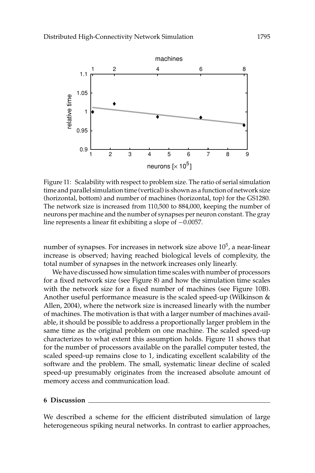

Figure 11: Scalability with respect to problem size. The ratio of serial simulation time and parallel simulation time (vertical) is shown as a function of network size (horizontal, bottom) and number of machines (horizontal, top) for the GS1280. The network size is increased from 110,500 to 884,000, keeping the number of neurons per machine and the number of synapses per neuron constant. The gray line represents a linear fit exhibiting a slope of −0.0057.

number of synapses. For increases in network size above  $10<sup>5</sup>$ , a near-linear increase is observed; having reached biological levels of complexity, the total number of synapses in the network increases only linearly.

Wehave discussed how simulation time scales with number of processors for a fixed network size (see Figure 8) and how the simulation time scales with the network size for a fixed number of machines (see Figure 10B). Another useful performance measure is the scaled speed-up (Wilkinson & Allen, 2004), where the network size is increased linearly with the number of machines. The motivation is that with a larger number of machines available, it should be possible to address a proportionally larger problem in the same time as the original problem on one machine. The scaled speed-up characterizes to what extent this assumption holds. Figure 11 shows that for the number of processors available on the parallel computer tested, the scaled speed-up remains close to 1, indicating excellent scalability of the software and the problem. The small, systematic linear decline of scaled speed-up presumably originates from the increased absolute amount of memory access and communication load.

#### **6 Discussion**

We described a scheme for the efficient distributed simulation of large heterogeneous spiking neural networks. In contrast to earlier approaches,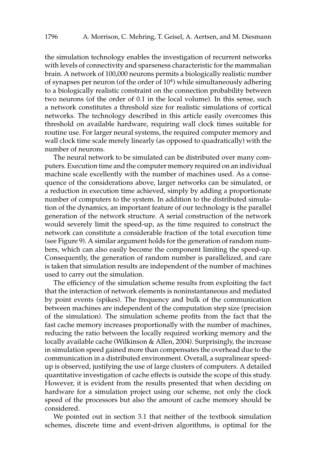the simulation technology enables the investigation of recurrent networks with levels of connectivity and sparseness characteristic for the mammalian brain. A network of 100,000 neurons permits a biologically realistic number of synapses per neuron (of the order of  $10<sup>4</sup>$ ) while simultaneously adhering to a biologically realistic constraint on the connection probability between two neurons (of the order of 0.1 in the local volume). In this sense, such a network constitutes a threshold size for realistic simulations of cortical networks. The technology described in this article easily overcomes this threshold on available hardware, requiring wall clock times suitable for routine use. For larger neural systems, the required computer memory and wall clock time scale merely linearly (as opposed to quadratically) with the number of neurons.

The neural network to be simulated can be distributed over many computers. Execution time and the computer memory required on an individual machine scale excellently with the number of machines used. As a consequence of the considerations above, larger networks can be simulated, or a reduction in execution time achieved, simply by adding a proportionate number of computers to the system. In addition to the distributed simulation of the dynamics, an important feature of our technology is the parallel generation of the network structure. A serial construction of the network would severely limit the speed-up, as the time required to construct the network can constitute a considerable fraction of the total execution time (see Figure 9). A similar argument holds for the generation of random numbers, which can also easily become the component limiting the speed-up. Consequently, the generation of random number is parallelized, and care is taken that simulation results are independent of the number of machines used to carry out the simulation.

The efficiency of the simulation scheme results from exploiting the fact that the interaction of network elements is noninstantaneous and mediated by point events (spikes). The frequency and bulk of the communication between machines are independent of the computation step size (precision of the simulation). The simulation scheme profits from the fact that the fast cache memory increases proportionally with the number of machines, reducing the ratio between the locally required working memory and the locally available cache (Wilkinson & Allen, 2004). Surprisingly, the increase in simulation speed gained more than compensates the overhead due to the communication in a distributed environment. Overall, a supralinear speedup is observed, justifying the use of large clusters of computers. A detailed quantitative investigation of cache effects is outside the scope of this study. However, it is evident from the results presented that when deciding on hardware for a simulation project using our scheme, not only the clock speed of the processors but also the amount of cache memory should be considered.

We pointed out in section 3.1 that neither of the textbook simulation schemes, discrete time and event-driven algorithms, is optimal for the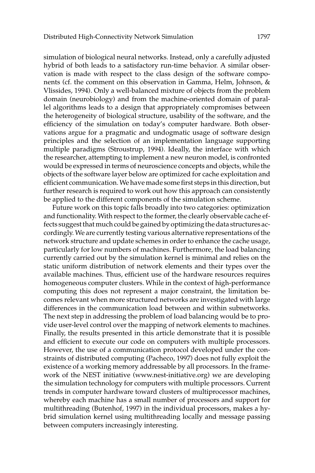simulation of biological neural networks. Instead, only a carefully adjusted hybrid of both leads to a satisfactory run-time behavior. A similar observation is made with respect to the class design of the software components (cf. the comment on this observation in Gamma, Helm, Johnson, & Vlissides, 1994). Only a well-balanced mixture of objects from the problem domain (neurobiology) and from the machine-oriented domain of parallel algorithms leads to a design that appropriately compromises between the heterogeneity of biological structure, usability of the software, and the efficiency of the simulation on today's computer hardware. Both observations argue for a pragmatic and undogmatic usage of software design principles and the selection of an implementation language supporting multiple paradigms (Stroustrup, 1994). Ideally, the interface with which the researcher, attempting to implement a new neuron model, is confronted would be expressed in terms of neuroscience concepts and objects, while the objects of the software layer below are optimized for cache exploitation and efficient communication. We have made some first steps in this direction, but further research is required to work out how this approach can consistently be applied to the different components of the simulation scheme.

Future work on this topic falls broadly into two categories: optimization and functionality. With respect to the former, the clearly observable cache effects suggest that much could be gained by optimizing the data structures accordingly. We are currently testing various alternative representations of the network structure and update schemes in order to enhance the cache usage, particularly for low numbers of machines. Furthermore, the load balancing currently carried out by the simulation kernel is minimal and relies on the static uniform distribution of network elements and their types over the available machines. Thus, efficient use of the hardware resources requires homogeneous computer clusters. While in the context of high-performance computing this does not represent a major constraint, the limitation becomes relevant when more structured networks are investigated with large differences in the communication load between and within subnetworks. The next step in addressing the problem of load balancing would be to provide user-level control over the mapping of network elements to machines. Finally, the results presented in this article demonstrate that it is possible and efficient to execute our code on computers with multiple processors. However, the use of a communication protocol developed under the constraints of distributed computing (Pacheco, 1997) does not fully exploit the existence of a working memory addressable by all processors. In the framework of the NEST initiative (www.nest-initiative.org) we are developing the simulation technology for computers with multiple processors. Current trends in computer hardware toward clusters of multiprocessor machines, whereby each machine has a small number of processors and support for multithreading (Butenhof, 1997) in the individual processors, makes a hybrid simulation kernel using multithreading locally and message passing between computers increasingly interesting.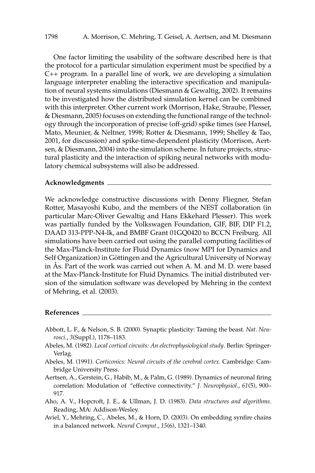One factor limiting the usability of the software described here is that the protocol for a particular simulation experiment must be specified by a C++ program. In a parallel line of work, we are developing a simulation language interpreter enabling the interactive specification and manipulation of neural systems simulations (Diesmann & Gewaltig, 2002). It remains to be investigated how the distributed simulation kernel can be combined with this interpreter. Other current work (Morrison, Hake, Straube, Plesser, & Diesmann, 2005) focuses on extending the functional range of the technology through the incorporation of precise (off-grid) spike times (see Hansel, Mato, Meunier, & Neltner, 1998; Rotter & Diesmann, 1999; Shelley & Tao, 2001, for discussion) and spike-time-dependent plasticity (Morrison, Aertsen, & Diesmann, 2004) into the simulation scheme. In future projects, structural plasticity and the interaction of spiking neural networks with modulatory chemical subsystems will also be addressed.

#### **Acknowledgments**

We acknowledge constructive discussions with Denny Fliegner, Stefan Rotter, Masayoshi Kubo, and the members of the NEST collaboration (in particular Marc-Oliver Gewaltig and Hans Ekkehard Plesser). This work was partially funded by the Volkswagen Foundation, GIF, BIF, DIP F1.2, DAAD 313-PPP-N4-lk, and BMBF Grant 01GQ0420 to BCCN Freiburg. All simulations have been carried out using the parallel computing facilities of the Max-Planck-Institute for Fluid Dynamics (now MPI for Dynamics and Self Organization) in Göttingen and the Agricultural University of Norway in Ås. Part of the work was carried out when A. M. and M. D. were based at the Max-Planck-Institute for Fluid Dynamics. The initial distributed version of the simulation software was developed by Mehring in the context of Mehring, et al. (2003).

### **References**

- Abbott, L. F., & Nelson, S. B. (2000). Synaptic plasticity: Taming the beast. *Nat. Neurosci.*, *3*(Suppl.), 1178–1183.
- Abeles, M. (1982). *Local cortical circuits: An electrophysiological study*. Berlin: Springer-Verlag.
- Abeles, M. (1991). *Corticonics: Neural circuits of the cerebral cortex*. Cambridge: Cambridge University Press.
- Aertsen, A., Gerstein, G., Habib, M., & Palm, G. (1989). Dynamics of neuronal firing correlation: Modulation of "effective connectivity." *J. Neurophysiol.*, *61*(5), 900– 917.
- Aho, A. V., Hopcroft, J. E., & Ullman, J. D. (1983). *Data structures and algorithms*. Reading, MA: Addison-Wesley.
- Aviel, Y., Mehring, C., Abeles, M., & Horn, D. (2003). On embedding synfire chains in a balanced network. *Neural Comput.*, *15*(6), 1321–1340.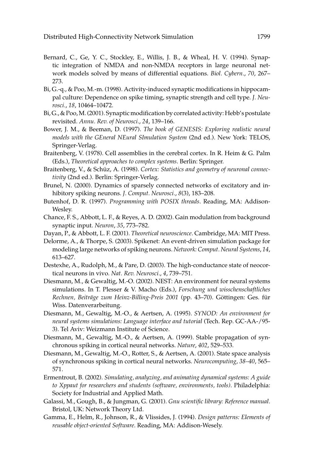- Bernard, C., Ge, Y. C., Stockley, E., Willis, J. B., & Wheal, H. V. (1994). Synaptic integration of NMDA and non-NMDA receptors in large neuronal network models solved by means of differential equations. *Biol. Cybern.*, *70*, 267– 273.
- Bi, G.-q., & Poo, M.-m. (1998). Activity-induced synaptic modifications in hippocampal culture: Dependence on spike timing, synaptic strength and cell type. *J. Neurosci.*, *18*, 10464–10472.
- Bi, G., & Poo, M. (2001). Synaptic modification by correlated activity: Hebb's postulate revisited. *Annu. Rev. of Neurosci.*, *24*, 139–166.
- Bower, J. M., & Beeman, D. (1997). *The book of GENESIS: Exploring realistic neural models with the GEneral NEural SImulation System* (2nd ed.). New York: TELOS, Springer-Verlag.
- Braitenberg, V. (1978). Cell assemblies in the cerebral cortex. In R. Heim & G. Palm (Eds.), *Theoretical approaches to complex systems*. Berlin: Springer.
- Braitenberg, V., & Schüz, A. (1998). Cortex: Statistics and geometry of neuronal connec*tivity* (2nd ed.). Berlin: Springer-Verlag.
- Brunel, N. (2000). Dynamics of sparsely connected networks of excitatory and inhibitory spiking neurons. *J. Comput. Neurosci.*, *8*(3), 183–208.
- Butenhof, D. R. (1997). *Programming with POSIX threads*. Reading, MA: Addison-Wesley.
- Chance, F. S., Abbott, L. F., & Reyes, A. D. (2002). Gain modulation from background synaptic input. *Neuron*, *35*, 773–782.
- Dayan, P., & Abbott, L. F. (2001). *Theoretical neuroscience*. Cambridge, MA: MIT Press.
- Delorme, A., & Thorpe, S. (2003). Spikenet: An event-driven simulation package for modeling large networks of spiking neurons. *Network: Comput. Neural Systems*, *14*, 613–627.
- Destexhe, A., Rudolph, M., & Pare, D. (2003). The high-conductance state of neocortical neurons in vivo. *Nat. Rev. Neurosci.*, *4*, 739–751.
- Diesmann, M., & Gewaltig, M.-O. (2002). NEST: An environment for neural systems simulations. In T. Plesser & V. Macho (Eds.), *Forschung und wisschenschaftliches* Rechnen, Beiträge zum Heinz-Billing-Preis 2001 (pp. 43–70). Göttingen: Ges. für Wiss. Datenverarbeitung.
- Diesmann, M., Gewaltig, M.-O., & Aertsen, A. (1995). *SYNOD: An environment for neural systems simulations: Language interface and tutorial* (Tech. Rep. GC-AA-/95- 3). Tel Aviv: Weizmann Institute of Science.
- Diesmann, M., Gewaltig, M.-O., & Aertsen, A. (1999). Stable propagation of synchronous spiking in cortical neural networks. *Nature*, *402*, 529–533.
- Diesmann, M., Gewaltig, M.-O., Rotter, S., & Aertsen, A. (2001). State space analysis of synchronous spiking in cortical neural networks. *Neurocomputing*, *38–40*, 565– 571.
- Ermentrout, B. (2002). *Simulating, analyzing, and animating dynamical systems: A guide to Xppaut for researchers and students (software, environments, tools)*. Philadelphia: Society for Industrial and Applied Math.
- Galassi, M., Gough, B., & Jungman, G. (2001). *Gnu scientific library: Reference manual*. Bristol, UK: Network Theory Ltd.
- Gamma, E., Helm, R., Johnson, R., & Vlissides, J. (1994). *Design patterns: Elements of reusable object-oriented Software*. Reading, MA: Addison-Wesely.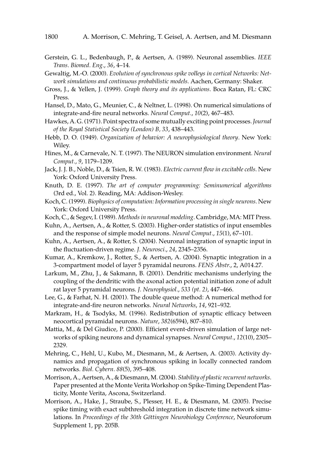- Gerstein, G. L., Bedenbaugh, P., & Aertsen, A. (1989). Neuronal assemblies. *IEEE Trans. Biomed. Eng.*, *36*, 4–14.
- Gewaltig, M.-O. (2000). *Evolution of synchronous spike volleys in cortical Networks: Network simulations and continuous probabilistic models*. Aachen, Germany: Shaker.
- Gross, J., & Yellen, J. (1999). *Graph theory and its applications*. Boca Ratan, FL: CRC Press.
- Hansel, D., Mato, G., Meunier, C., & Neltner, L. (1998). On numerical simulations of integrate-and-fire neural networks. *Neural Comput.*, *10*(2), 467–483.
- Hawkes, A. G. (1971). Point spectra of some mutually exciting point processes.*Journal of the Royal Statistical Society (London) B, 33*, 438–443.
- Hebb, D. O. (1949). *Organization of behavior: A neurophysiological theory*. New York: Wiley.
- Hines, M., & Carnevale, N. T. (1997). The NEURON simulation environment. *Neural Comput.*, *9*, 1179–1209.
- Jack, J. J. B., Noble, D., & Tsien, R. W. (1983). *Electric current flow in excitable cells*. New York: Oxford University Press.
- Knuth, D. E. (1997). *The art of computer programming: Seminumerical algorithms* (3rd ed., Vol. 2). Reading, MA: Addison-Wesley.
- Koch, C. (1999). *Biophysics of computation: Information processing in single neurons*. New York: Oxford University Press.
- Koch, C., & Segev, I. (1989). *Methods in neuronal modeling*. Cambridge, MA: MIT Press.
- Kuhn, A., Aertsen, A., & Rotter, S. (2003). Higher-order statistics of input ensembles and the response of simple model neurons. *Neural Comput.*, *15*(1), 67–101.
- Kuhn, A., Aertsen, A., & Rotter, S. (2004). Neuronal integration of synaptic input in the fluctuation-driven regime. *J. Neurosci.*, *24*, 2345–2356.
- Kumar, A., Kremkow, J., Rotter, S., & Aertsen, A. (2004). Synaptic integration in a 3-compartment model of layer 5 pyramidal neurons. *FENS Abstr.*, 2, A014.27.
- Larkum, M., Zhu, J., & Sakmann, B. (2001). Dendritic mechanisms underlying the coupling of the dendritic with the axonal action potential initiation zone of adult rat layer 5 pyramidal neurons. *J. Neurophysiol.*, *533 (pt. 2)*, 447–466.
- Lee, G., & Farhat, N. H. (2001). The double queue method: A numerical method for integrate-and-fire neuron networks. *Neural Networks*, *14*, 921–932.
- Markram, H., & Tsodyks, M. (1996). Redistribution of synaptic efficacy between neocortical pyramidal neurons. *Nature*, *382*(6594), 807–810.
- Mattia, M., & Del Giudice, P. (2000). Efficient event-driven simulation of large networks of spiking neurons and dynamical synapses. *Neural Comput.*, *12*(10), 2305– 2329.
- Mehring, C., Hehl, U., Kubo, M., Diesmann, M., & Aertsen, A. (2003). Activity dynamics and propagation of synchronous spiking in locally connected random networks. *Biol. Cybern. 88*(5), 395–408.
- Morrison, A., Aertsen, A., & Diesmann, M. (2004). *Stability of plastic recurrent networks*. Paper presented at the Monte Verita Workshop on Spike-Timing Dependent Plasticity, Monte Verita, Ascona, Switzerland.
- Morrison, A., Hake, J., Straube, S., Plesser, H. E., & Diesmann, M. (2005). Precise spike timing with exact subthreshold integration in discrete time network simulations. In *Proceedings of the 30th Göttingen Neurobiology Conference*, Neuroforum Supplement 1, pp. 205B.